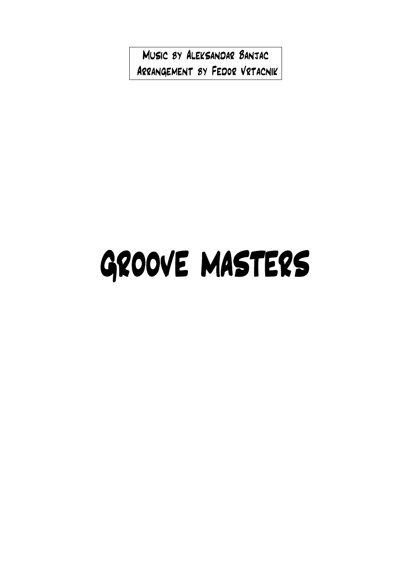Music by Aleksandar Banjac Arrangement by Fedor Vrtacnik

## GROOVE MASTERS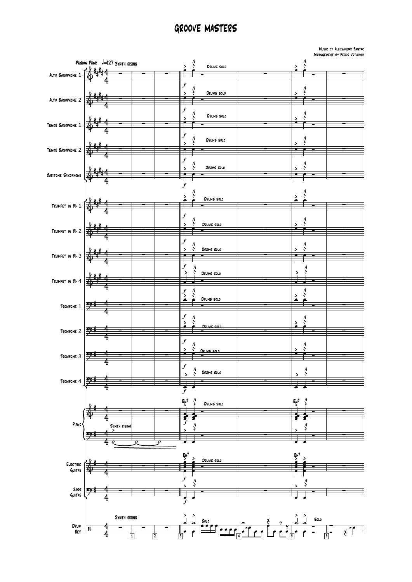## GROOVE MASTERS